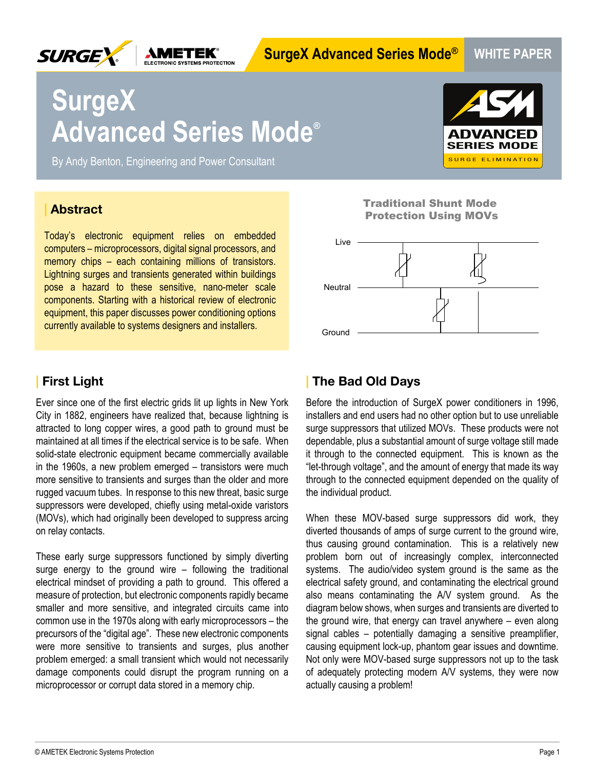

# **SurgeX Advanced Series Mode® WHITE PAPER**

# **SurgeX Advanced Series Mode®**

By Andy Benton, Engineering and Power Consultant



#### **| Abstract**

Today's electronic equipment relies on embedded computers – microprocessors, digital signal processors, and memory chips – each containing millions of transistors. Lightning surges and transients generated within buildings pose a hazard to these sensitive, nano-meter scale components. Starting with a historical review of electronic equipment, this paper discusses power conditioning options currently available to systems designers and installers.

## **| First Light**

Ever since one of the first electric grids lit up lights in New York City in 1882, engineers have realized that, because lightning is attracted to long copper wires, a good path to ground must be maintained at all times if the electrical service is to be safe. When solid-state electronic equipment became commercially available in the 1960s, a new problem emerged – transistors were much more sensitive to transients and surges than the older and more rugged vacuum tubes. In response to this new threat, basic surge suppressors were developed, chiefly using metal-oxide varistors (MOVs), which had originally been developed to suppress arcing on relay contacts.

These early surge suppressors functioned by simply diverting surge energy to the ground wire – following the traditional electrical mindset of providing a path to ground. This offered a measure of protection, but electronic components rapidly became smaller and more sensitive, and integrated circuits came into common use in the 1970s along with early microprocessors – the precursors of the "digital age". These new electronic components were more sensitive to transients and surges, plus another problem emerged: a small transient which would not necessarily damage components could disrupt the program running on a microprocessor or corrupt data stored in a memory chip.

Traditional Shunt Mode Protection Using MOVs



## **| The Bad Old Days**

Before the introduction of SurgeX power conditioners in 1996, installers and end users had no other option but to use unreliable surge suppressors that utilized MOVs. These products were not dependable, plus a substantial amount of surge voltage still made it through to the connected equipment. This is known as the "let-through voltage", and the amount of energy that made its way through to the connected equipment depended on the quality of the individual product.

When these MOV-based surge suppressors did work, they diverted thousands of amps of surge current to the ground wire, thus causing ground contamination. This is a relatively new problem born out of increasingly complex, interconnected systems. The audio/video system ground is the same as the electrical safety ground, and contaminating the electrical ground also means contaminating the A/V system ground. As the diagram below shows, when surges and transients are diverted to the ground wire, that energy can travel anywhere – even along signal cables – potentially damaging a sensitive preamplifier, causing equipment lock-up, phantom gear issues and downtime. Not only were MOV-based surge suppressors not up to the task of adequately protecting modern A/V systems, they were now actually causing a problem!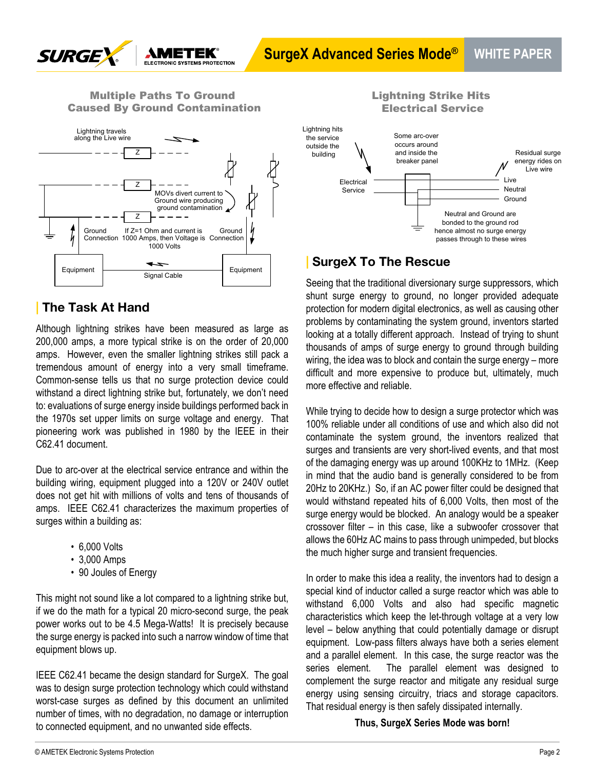

#### Multiple Paths To Ground Caused By Ground Contamination



## **| The Task At Hand**

Although lightning strikes have been measured as large as 200,000 amps, a more typical strike is on the order of 20,000 amps. However, even the smaller lightning strikes still pack a tremendous amount of energy into a very small timeframe. Common-sense tells us that no surge protection device could withstand a direct lightning strike but, fortunately, we don't need to: evaluations of surge energy inside buildings performed back in the 1970s set upper limits on surge voltage and energy. That pioneering work was published in 1980 by the IEEE in their C62.41 document.

Due to arc-over at the electrical service entrance and within the building wiring, equipment plugged into a 120V or 240V outlet does not get hit with millions of volts and tens of thousands of amps. IEEE C62.41 characterizes the maximum properties of surges within a building as:

- 6,000 Volts
- 3,000 Amps
- 90 Joules of Energy

This might not sound like a lot compared to a lightning strike but, if we do the math for a typical 20 micro-second surge, the peak power works out to be 4.5 Mega-Watts! It is precisely because the surge energy is packed into such a narrow window of time that equipment blows up.

IEEE C62.41 became the design standard for SurgeX. The goal was to design surge protection technology which could withstand worst-case surges as defined by this document an unlimited number of times, with no degradation, no damage or interruption to connected equipment, and no unwanted side effects.



Lightning Strike Hits Electrical Service

## **| SurgeX To The Rescue**

Seeing that the traditional diversionary surge suppressors, which shunt surge energy to ground, no longer provided adequate protection for modern digital electronics, as well as causing other problems by contaminating the system ground, inventors started looking at a totally different approach. Instead of trying to shunt thousands of amps of surge energy to ground through building wiring, the idea was to block and contain the surge energy – more difficult and more expensive to produce but, ultimately, much more effective and reliable.

While trying to decide how to design a surge protector which was 100% reliable under all conditions of use and which also did not contaminate the system ground, the inventors realized that surges and transients are very short-lived events, and that most of the damaging energy was up around 100KHz to 1MHz. (Keep in mind that the audio band is generally considered to be from 20Hz to 20KHz.) So, if an AC power filter could be designed that would withstand repeated hits of 6,000 Volts, then most of the surge energy would be blocked. An analogy would be a speaker crossover filter – in this case, like a subwoofer crossover that allows the 60Hz AC mains to pass through unimpeded, but blocks the much higher surge and transient frequencies.

In order to make this idea a reality, the inventors had to design a special kind of inductor called a surge reactor which was able to withstand 6,000 Volts and also had specific magnetic characteristics which keep the let-through voltage at a very low level – below anything that could potentially damage or disrupt equipment. Low-pass filters always have both a series element and a parallel element. In this case, the surge reactor was the series element. The parallel element was designed to complement the surge reactor and mitigate any residual surge energy using sensing circuitry, triacs and storage capacitors. That residual energy is then safely dissipated internally.

**Thus, SurgeX Series Mode was born!**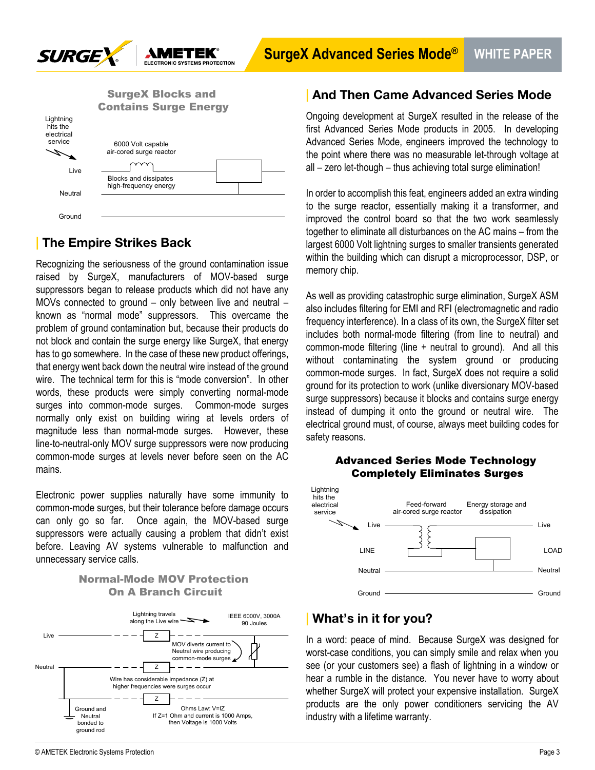

|                                                | <b>SurgeX Blocks and</b><br><b>Contains Surge Energy</b> |
|------------------------------------------------|----------------------------------------------------------|
| Lightning<br>hits the<br>electrical<br>service | 6000 Volt capable<br>air-cored surge reactor             |
| Live<br>Neutral                                | <b>Blocks and dissipates</b><br>high-frequency energy    |
| Ground                                         |                                                          |

# **| The Empire Strikes Back**

Recognizing the seriousness of the ground contamination issue raised by SurgeX, manufacturers of MOV-based surge suppressors began to release products which did not have any MOVs connected to ground – only between live and neutral – known as "normal mode" suppressors. This overcame the problem of ground contamination but, because their products do not block and contain the surge energy like SurgeX, that energy has to go somewhere. In the case of these new product offerings, that energy went back down the neutral wire instead of the ground wire. The technical term for this is "mode conversion". In other words, these products were simply converting normal-mode surges into common-mode surges. Common-mode surges normally only exist on building wiring at levels orders of magnitude less than normal-mode surges. However, these line-to-neutral-only MOV surge suppressors were now producing common-mode surges at levels never before seen on the AC mains.

Electronic power supplies naturally have some immunity to common-mode surges, but their tolerance before damage occurs can only go so far. Once again, the MOV-based surge suppressors were actually causing a problem that didn't exist before. Leaving AV systems vulnerable to malfunction and unnecessary service calls.

#### Normal-Mode MOV Protection On A Branch Circuit



## **| And Then Came Advanced Series Mode**

Ongoing development at SurgeX resulted in the release of the first Advanced Series Mode products in 2005. In developing Advanced Series Mode, engineers improved the technology to the point where there was no measurable let-through voltage at all – zero let-though – thus achieving total surge elimination!

In order to accomplish this feat, engineers added an extra winding to the surge reactor, essentially making it a transformer, and improved the control board so that the two work seamlessly together to eliminate all disturbances on the AC mains – from the largest 6000 Volt lightning surges to smaller transients generated within the building which can disrupt a microprocessor, DSP, or memory chip.

As well as providing catastrophic surge elimination, SurgeX ASM also includes filtering for EMI and RFI (electromagnetic and radio frequency interference). In a class of its own, the SurgeX filter set includes both normal-mode filtering (from line to neutral) and common-mode filtering (line + neutral to ground). And all this without contaminating the system ground or producing common-mode surges. In fact, SurgeX does not require a solid ground for its protection to work (unlike diversionary MOV-based surge suppressors) because it blocks and contains surge energy instead of dumping it onto the ground or neutral wire. The electrical ground must, of course, always meet building codes for safety reasons.

#### Advanced Series Mode Technology Completely Eliminates Surges



## **| What's in it for you?**

In a word: peace of mind. Because SurgeX was designed for worst-case conditions, you can simply smile and relax when you see (or your customers see) a flash of lightning in a window or hear a rumble in the distance. You never have to worry about whether SurgeX will protect your expensive installation. SurgeX products are the only power conditioners servicing the AV industry with a lifetime warranty.